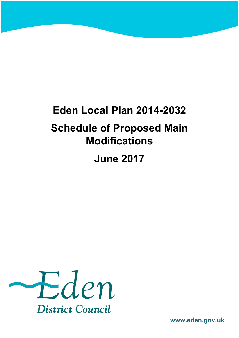# **Eden Local Plan 2014-2032 Schedule of Proposed Main Modifications June 2017**



**www.eden.gov.uk**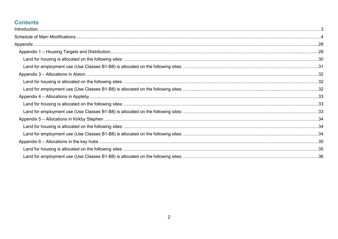## **Contents**

<span id="page-1-0"></span>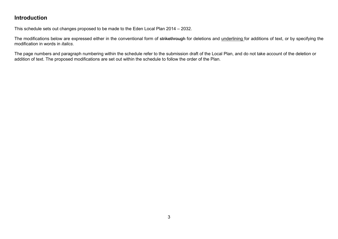## **Introduction**

This schedule sets out changes proposed to be made to the Eden Local Plan 2014 – 2032.

The modifications below are expressed either in the conventional form of strikethrough for deletions and underlining for additions of text, or by specifying the modification in words in *italics*.

The page numbers and paragraph numbering within the schedule refer to the submission draft of the Local Plan, and do not take account of the deletion or addition of text. The proposed modifications are set out within the schedule to follow the order of the Plan.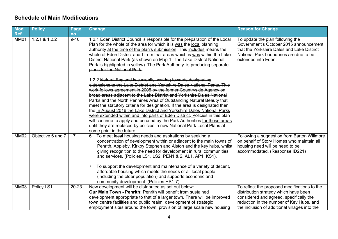#### <span id="page-3-0"></span>**Schedule of Main Modifications**

| Mod<br>Ref  | <b>Policy</b>     | Page<br>no. | <b>Change</b>                                                                                                                                                                                                                                                                                                                                                                                                                                                                                      | <b>Reason for Change</b>                                                                                                                                                                                                      |
|-------------|-------------------|-------------|----------------------------------------------------------------------------------------------------------------------------------------------------------------------------------------------------------------------------------------------------------------------------------------------------------------------------------------------------------------------------------------------------------------------------------------------------------------------------------------------------|-------------------------------------------------------------------------------------------------------------------------------------------------------------------------------------------------------------------------------|
| MM01        | 1.2.1 & 1.2.2     | $9 - 10$    | 1.2.1 Eden District Council is responsible for the preparation of the Local<br>Plan for the whole of the area for which it is was the local planning<br>authority at the time of the plan's submission. This includes means the<br>whole of Eden District apart from that areas which is was within the Lake<br>District National Park (as shown on Map 1 - the Lake District National<br>Park is highlighted in yellow). The Park Authority is producing separate<br>plans for the National Park. | To update the plan following the<br>Government's October 2015 announcement<br>that the Yorkshire Dales and Lake District<br>National Park boundaries are due to be<br>extended into Eden.                                     |
|             |                   |             | 1.2.2 Natural England is currently working towards designating<br>extensions to the Lake District and Yorkshire Dales National Parks. This<br>work follows agreement in 2005 by the former Countryside Agency on<br>broad areas adjacent to the Lake District and Yorkshire Dales National                                                                                                                                                                                                         |                                                                                                                                                                                                                               |
|             |                   |             | Parks and the North Pennines Area of Outstanding Natural Beauty that<br>meet the statutory criteria for designation. If the area is designated then                                                                                                                                                                                                                                                                                                                                                |                                                                                                                                                                                                                               |
|             |                   |             | the In August 2016 the Lake District and Yorkshire Dales National Parks                                                                                                                                                                                                                                                                                                                                                                                                                            |                                                                                                                                                                                                                               |
|             |                   |             | were extended within and into parts of Eden District. Policies in this plan<br>will continue to apply and be used by the Park Authorities for these areas                                                                                                                                                                                                                                                                                                                                          |                                                                                                                                                                                                                               |
|             |                   |             | until they are replaced by policies in new National Park Local Plans at<br>some point in the future.                                                                                                                                                                                                                                                                                                                                                                                               |                                                                                                                                                                                                                               |
| <b>MM02</b> | Objective 6 and 7 | 17          | 6. To meet local housing needs and aspirations by seeking a<br>concentration of development within or adjacent to the main towns of<br>Penrith, Appleby, Kirkby Stephen and Alston and the key hubs, whilst<br>giving recognition to the need for development in rural communities<br>and services. (Policies LS1, LS2, PEN1 & 2, AL1, AP1, KS1).                                                                                                                                                  | Following a suggestion from Barton Willmore<br>on behalf of Story Homes who maintain all<br>housing need will be need to be<br>accommodated. (Response ID221)                                                                 |
|             |                   |             | 7. To support the development and maintenance of a variety of decent,<br>affordable housing which meets the needs of all local people<br>(including the older population) and supports economic and<br>community development. (Policies HS1-7).                                                                                                                                                                                                                                                    |                                                                                                                                                                                                                               |
| <b>MM03</b> | Policy LS1        | $20 - 23$   | New development will be distributed as set out below:<br>Our Main Town - Penrith: Penrith will benefit from sustained<br>development appropriate to that of a larger town. There will be improved<br>town centre facilities and public realm; development of strategic<br>employment sites around the town; provision of large scale new housing                                                                                                                                                   | To reflect the proposed modifications to the<br>distribution strategy which have been<br>considered and agreed, specifically the<br>reduction in the number of Key Hubs, and<br>the inclusion of additional villages into the |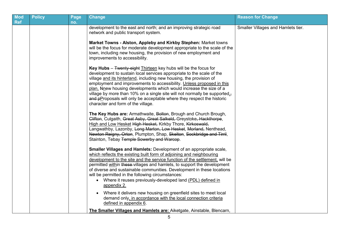| <b>Mod</b><br><b>Ref</b> | <b>Policy</b> | Page<br>no. | <b>Change</b>                                                                                                                                                                                                                                                                                                                                                                                                                                                                                                                                                        | <b>Reason for Change</b>           |
|--------------------------|---------------|-------------|----------------------------------------------------------------------------------------------------------------------------------------------------------------------------------------------------------------------------------------------------------------------------------------------------------------------------------------------------------------------------------------------------------------------------------------------------------------------------------------------------------------------------------------------------------------------|------------------------------------|
|                          |               |             | development to the east and north; and an improving strategic road<br>network and public transport system.                                                                                                                                                                                                                                                                                                                                                                                                                                                           | Smaller Villages and Hamlets tier. |
|                          |               |             | Market Towns - Alston, Appleby and Kirkby Stephen: Market towns<br>will be the focus for moderate development appropriate to the scale of the<br>town, including new housing, the provision of new employment and<br>improvements to accessibility.                                                                                                                                                                                                                                                                                                                  |                                    |
|                          |               |             | <b>Key Hubs</b> $-$ Twenty-eight Thirteen key hubs will be the focus for<br>development to sustain local services appropriate to the scale of the<br>village and its hinterland, including new housing, the provision of<br>employment and improvements to accessibility. Unless proposed in this<br>plan. Nnew housing developments which would increase the size of a<br>village by more than 10% on a single site will not normally be supported.<br>and pProposals will only be acceptable where they respect the historic<br>character and form of the village. |                                    |
|                          |               |             | The Key Hubs are: Armathwaite, Bolton, Brough and Church Brough,<br>Clifton, Culgaith, Great Asby, Great Salkeld, Greystoke, Hackthorpe,<br>High and Low Hesket High Hesket, Kirkby Thore, Kirkoswald,<br>Langwathby, Lazonby, Long Marton, Low Hesket, Morland, Nenthead,<br>Newton Reigny, Orton, Plumpton, Shap, Skelton, Sockbridge and Tirril,<br>Stainton, Tebay Temple Sowerby and Warcop.                                                                                                                                                                    |                                    |
|                          |               |             | <b>Smaller Villages and Hamlets: Development of an appropriate scale,</b><br>which reflects the existing built form of adjoining and neighbouring<br>development to the site and the service function of the settlement, will be<br>permitted within these-villages and hamlets, to support the development<br>of diverse and sustainable communities. Development in these locations<br>will be permitted in the following circumstances:<br>• Where it reuses previously-developed land (PDL) defined in<br>appendix 2.                                            |                                    |
|                          |               |             | Where it delivers new housing on greenfield sites to meet local<br>demand only, in accordance with the local connection criteria<br>defined in appendix 6.                                                                                                                                                                                                                                                                                                                                                                                                           |                                    |
|                          |               |             | The Smaller Villages and Hamlets are: Aiketgate, Ainstable, Blencarn,                                                                                                                                                                                                                                                                                                                                                                                                                                                                                                |                                    |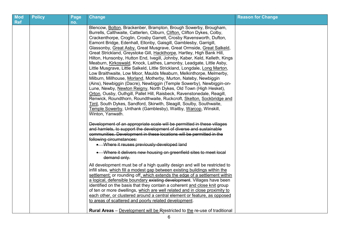| <b>Mod</b><br><b>Ref</b> | <b>Policy</b> | Page<br>no. | Change                                                                                                                                                                                                                                                                                                                                                                                                                                                                                                                                                                                                                                                                                                                                                                                                                                                                                                                                                                                                                                                                                                                                                                                                                                                                                                                                                                                                                                                                                                                                                                                                                                                                                                                                                                                                                                                                                                                                                                                                                                                                                                                                                                                                                                                                                                                                                                                       | <b>Reason for Change</b> |
|--------------------------|---------------|-------------|----------------------------------------------------------------------------------------------------------------------------------------------------------------------------------------------------------------------------------------------------------------------------------------------------------------------------------------------------------------------------------------------------------------------------------------------------------------------------------------------------------------------------------------------------------------------------------------------------------------------------------------------------------------------------------------------------------------------------------------------------------------------------------------------------------------------------------------------------------------------------------------------------------------------------------------------------------------------------------------------------------------------------------------------------------------------------------------------------------------------------------------------------------------------------------------------------------------------------------------------------------------------------------------------------------------------------------------------------------------------------------------------------------------------------------------------------------------------------------------------------------------------------------------------------------------------------------------------------------------------------------------------------------------------------------------------------------------------------------------------------------------------------------------------------------------------------------------------------------------------------------------------------------------------------------------------------------------------------------------------------------------------------------------------------------------------------------------------------------------------------------------------------------------------------------------------------------------------------------------------------------------------------------------------------------------------------------------------------------------------------------------------|--------------------------|
|                          |               |             | Blencow, Bolton, Brackenber, Brampton, Brough Sowerby, Brougham,<br>Burrells, Calthwaite, Catterlen, Cliburn, Clifton, Clifton Dykes, Colby,<br>Crackenthorpe, Croglin, Crosby Garrett, Crosby Ravensworth, Dufton,<br>Eamont Bridge, Edenhall, Ellonby, Gaisgill, Gamblesby, Garrigill,<br>Glassonby, Great Asby, Great Musgrave, Great Ormside, Great Salkeld,<br>Great Strickland, Greystoke Gill, Hackthorpe, Hartley, High Bank Hill,<br>Hilton, Hunsonby, Hutton End, Ivegill, Johnby, Kaber, Keld, Kelleth, Kings<br>Meaburn, Kirkoswald, Knock, Laithes, Lamonby, Leadgate, Little Asby,<br>Little Musgrave, Little Salkeld, Little Strickland, Longdale, Long Marton,<br>Low Braithwaite, Low Moor, Maulds Meaburn, Melkinthorpe, Melmerby,<br>Milburn, Millhouse, Morland, Motherby, Murton, Nateby, Newbiggin<br>(Ains), Newbiggin (Dacre), Newbiggin (Temple Sowerby), Newbiggin-on-<br>Lune, Newby, Newton Reigny, North Dykes, Old Town (High Hesket),<br>Orton, Ousby, Outhgill, Pallet Hill, Raisbeck, Ravenstonedale, Reagill,<br>Renwick, Roundthorn, Roundthwaite, Ruckcroft, Skelton, Sockbridge and<br>Tirril, South Dykes, Sandford, Skirwith, Sleagill, Soulby, Southwaite,<br>Temple Sowerby, Unthank (Gamblesby), Waitby, Warcop, Winskill,<br>Winton, Yanwath.<br>Development of an appropriate scale will be permitted in these villages<br>and hamlets, to support the development of diverse and sustainable<br>communities. Development in these locations will be permitted in the<br>following circumstances:<br>• Where it reuses previously-developed land<br>• Where it delivers new housing on greenfield sites to meet local<br>demand only.<br>All development must be of a high quality design and will be restricted to<br>infill sites, which fill a modest gap between existing buildings within the<br>settlement; or rounding off, which extends the edge of a settlement within<br>a logical, defensible boundary existing development. Villages have been<br>identified on the basis that they contain a coherent and close knit group<br>of ten or more dwellings, which are well related and in close proximity to<br>each other, or clustered around a central element or feature, as opposed<br>to areas of scattered and poorly related development.<br><b>Rural Areas</b> – Development will be Rrestricted to the re-use of traditional |                          |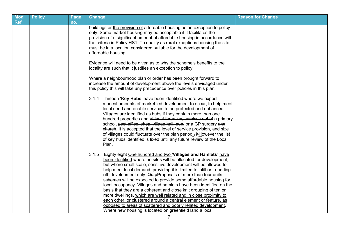| <b>Mod</b><br><b>Ref</b> | <b>Policy</b> | Page<br>no. | <b>Change</b>                                                                                                                                                                                                                                                                                                                                                                                                                                                                                                                                                                                                                                                                                                                                                                                                                           | <b>Reason for Change</b> |
|--------------------------|---------------|-------------|-----------------------------------------------------------------------------------------------------------------------------------------------------------------------------------------------------------------------------------------------------------------------------------------------------------------------------------------------------------------------------------------------------------------------------------------------------------------------------------------------------------------------------------------------------------------------------------------------------------------------------------------------------------------------------------------------------------------------------------------------------------------------------------------------------------------------------------------|--------------------------|
|                          |               |             | buildings or the provision of affordable housing as an exception to policy<br>only. Some market housing may be acceptable if it facilitates the<br>provision of a significant amount of affordable housing in accordance with<br>the criteria in Policy HS1. To qualify as rural exceptions housing the site<br>must be in a location considered suitable for the development of<br>affordable housing.                                                                                                                                                                                                                                                                                                                                                                                                                                 |                          |
|                          |               |             | Evidence will need to be given as to why the scheme's benefits to the<br>locality are such that it justifies an exception to policy.                                                                                                                                                                                                                                                                                                                                                                                                                                                                                                                                                                                                                                                                                                    |                          |
|                          |               |             | Where a neighbourhood plan or order has been brought forward to<br>increase the amount of development above the levels envisaged under<br>this policy this will take any precedence over policies in this plan.                                                                                                                                                                                                                                                                                                                                                                                                                                                                                                                                                                                                                         |                          |
|                          |               |             | 3.1.4 Thirteen 'Key Hubs' have been identified where we expect<br>modest amounts of market led development to occur, to help meet<br>local need and enable services to be protected and enhanced.<br>Villages are identified as hubs if they contain more than one<br>hundred properties and at least three key services out of a primary<br>school, post office, shop, village hall, pub, or a GP surgery and<br>church. It is accepted that the level of service provision, and size<br>of villages could fluctuate over the plan period., <b>AHowever</b> the list<br>of key hubs identified is fixed until any future review of the Local<br>Plan.                                                                                                                                                                                  |                          |
|                          |               |             | 3.1.5<br>Eighty eight One hundred and two 'Villages and Hamlets' have<br>been identified where no sites will be allocated for development,<br>but where small scale, sensitive development will be allowed to<br>help meet local demand, providing it is limited to infill or 'rounding<br>off' development only. On pProposals of more than four units<br>schemes will be expected to provide some affordable housing for<br>local occupancy. Villages and hamlets have been identified on the<br>basis that they are a coherent and close knit grouping of ten or<br>more dwellings, which are well related and in close proximity to<br>each other, or clustered around a central element or feature, as<br>opposed to areas of scattered and poorly related development.<br>Where new housing is located on greenfield land a local |                          |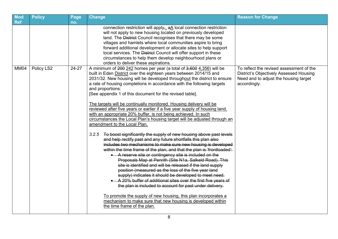| <b>Mod</b><br><b>Ref</b> | <b>Policy</b> | Page<br>no. | <b>Change</b>                                                                                                                                                                                                                                                                                                                                                                                                                                                                                                                                                                                                                                                                                                                                                                                                                                                                                                                                                                                                                                                                                                                                                                                                                                                                                                                                                                                                                                                                                                                                                                                                        | <b>Reason for Change</b>                                                                                                                            |
|--------------------------|---------------|-------------|----------------------------------------------------------------------------------------------------------------------------------------------------------------------------------------------------------------------------------------------------------------------------------------------------------------------------------------------------------------------------------------------------------------------------------------------------------------------------------------------------------------------------------------------------------------------------------------------------------------------------------------------------------------------------------------------------------------------------------------------------------------------------------------------------------------------------------------------------------------------------------------------------------------------------------------------------------------------------------------------------------------------------------------------------------------------------------------------------------------------------------------------------------------------------------------------------------------------------------------------------------------------------------------------------------------------------------------------------------------------------------------------------------------------------------------------------------------------------------------------------------------------------------------------------------------------------------------------------------------------|-----------------------------------------------------------------------------------------------------------------------------------------------------|
|                          |               |             | connection restriction will apply <sub><math>\frac{\pi}{2}</math></sub> a local connection restriction<br>will not apply to new housing located on previously developed<br>land. The District Council recognises that there may be some<br>villages and hamlets where local communities aspire to bring<br>forward additional development or allocate sites to help support<br>local services. The District Council will offer support in these<br>circumstances to help them develop neighbourhood plans or<br>orders to deliver these aspirations.                                                                                                                                                                                                                                                                                                                                                                                                                                                                                                                                                                                                                                                                                                                                                                                                                                                                                                                                                                                                                                                                 |                                                                                                                                                     |
| MM04                     | Policy LS2    | $24-27$     | A minimum of 200 242 homes per year (a total of 3,600 4,356) will be<br>built in Eden District over the eighteen years between 2014/15 and<br>2031/32. New housing will be developed throughout the district to ensure<br>a rate of housing completions in accordance with the following targets<br>and proportions:<br>[See appendix 1 of this document for the revised table].<br>The targets will be continually monitored. Housing delivery will be<br>reviewed after five years or earlier if a five year supply of housing land,<br>with an appropriate 20% buffer, is not being achieved. In such<br>circumstances the Local Plan's housing target will be adjusted through an<br>amendment to the Local Plan.<br>3.2.5<br>To boost significantly the supply of new housing above past levels<br>and help rectify past and any future shortfalls this plan also<br>includes two mechanisms to make sure new housing is developed<br>within the time frame of the plan, and that the plan is 'frontloaded':<br>• A reserve site or contingency site is included on the<br>Proposals Map at Penrith (Site N1a, Salkeld Road). This<br>site is identified and will be released if the land supply<br>position (measured as the loss of the five year land<br>supply) indicates it should be developed to meet need.<br>A 20% buffer of additional sites over the first five years of<br>the plan is included to account for past under delivery.<br>To promote the supply of new housing, this plan incorporates a<br>mechanism to make sure that new housing is developed within<br>the time frame of the plan. | To reflect the revised assessment of the<br><b>District's Objectively Assessed Housing</b><br>Need and to adjust the housing target<br>accordingly. |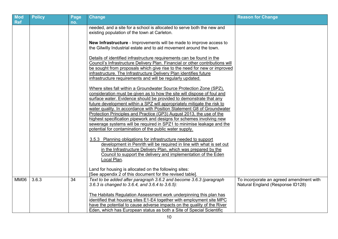| Mod<br><b>Ref</b> | <b>Policy</b> | Page<br>no. | <b>Change</b>                                                                                                                                                                                                                                                                                                                                                                                                                                                                                                                                                                                      | <b>Reason for Change</b>                                                    |
|-------------------|---------------|-------------|----------------------------------------------------------------------------------------------------------------------------------------------------------------------------------------------------------------------------------------------------------------------------------------------------------------------------------------------------------------------------------------------------------------------------------------------------------------------------------------------------------------------------------------------------------------------------------------------------|-----------------------------------------------------------------------------|
|                   |               |             | needed, and a site for a school is allocated to serve both the new and<br>existing population of the town at Carleton.                                                                                                                                                                                                                                                                                                                                                                                                                                                                             |                                                                             |
|                   |               |             | New Infrastructure - Improvements will be made to improve access to<br>the Gilwilly Industrial estate and to aid movement around the town.                                                                                                                                                                                                                                                                                                                                                                                                                                                         |                                                                             |
|                   |               |             | Details of identified infrastructure requirements can be found in the<br>Council's Infrastructure Delivery Plan. Financial or other contributions will<br>be sought from proposals which give rise to the need for new or improved<br>infrastructure. The Infrastructure Delivery Plan identifies future<br>infrastructure requirements and will be regularly updated.                                                                                                                                                                                                                             |                                                                             |
|                   |               |             | Where sites fall within a Groundwater Source Protection Zone (SPZ),<br>consideration must be given as to how the site will dispose of foul and<br>surface water. Evidence should be provided to demonstrate that any<br>future development within a SPZ will appropriately mitigate the risk to<br>water quality. In accordance with Position Statement G8 of Groundwater<br>Protection Principles and Practice (GP3) August 2013, the use of the<br>highest specification pipework and designs for schemes involving new<br>sewerage systems will be required in SPZ1 to minimise leakage and the |                                                                             |
|                   |               |             | potential for contamination of the public water supply.<br>3.5.3 Planning obligations for infrastructure needed to support<br>development in Penrith will be required in line with what is set out<br>in the Infrastructure Delivery Plan, which was prepared by the<br>Council to support the delivery and implementation of the Eden<br>Local Plan.                                                                                                                                                                                                                                              |                                                                             |
|                   |               |             | Land for housing is allocated on the following sites:<br>[See appendix 2 of this document for the revised table].                                                                                                                                                                                                                                                                                                                                                                                                                                                                                  |                                                                             |
| <b>MM06</b>       | 3.6.3         | 34          | Text to be added after paragraph 3.6.2 and become 3.6.3 (paragraph<br>3.6.3 is changed to 3.6.4, and 3.6.4 to 3.6.5):                                                                                                                                                                                                                                                                                                                                                                                                                                                                              | To incorporate an agreed amendment with<br>Natural England (Response ID128) |
|                   |               |             | The Habitats Regulation Assessment work underpinning this plan has<br>identified that housing sites E1-E4 together with employment site MPC<br>have the potential to cause adverse impacts on the quality of the River<br>Eden, which has European status as both a Site of Special Scientific                                                                                                                                                                                                                                                                                                     |                                                                             |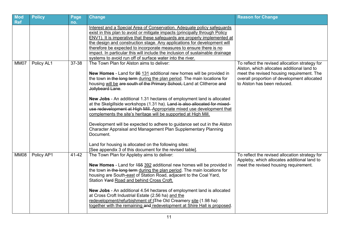| <b>Mod</b>         | <b>Policy</b> | Page         | <b>Change</b>                                                                                                                                                                                                                                                                                                                                                                                                                                                                                                                                                                                                                                                                                                                                                                                                                                                                                                                                                                                                                                                                                                                                                                                                        | <b>Reason for Change</b>                                                                                                                                                                                                |
|--------------------|---------------|--------------|----------------------------------------------------------------------------------------------------------------------------------------------------------------------------------------------------------------------------------------------------------------------------------------------------------------------------------------------------------------------------------------------------------------------------------------------------------------------------------------------------------------------------------------------------------------------------------------------------------------------------------------------------------------------------------------------------------------------------------------------------------------------------------------------------------------------------------------------------------------------------------------------------------------------------------------------------------------------------------------------------------------------------------------------------------------------------------------------------------------------------------------------------------------------------------------------------------------------|-------------------------------------------------------------------------------------------------------------------------------------------------------------------------------------------------------------------------|
| <b>Ref</b><br>MM07 | Policy AL1    | no.<br>37-38 | Interest and a Special Area of Conservation. Adequate policy safeguards<br>exist in this plan to avoid or mitigate impacts (principally through Policy<br>ENV1). It is imperative that these safeguards are properly implemented at<br>the design and construction stage. Any applications for development will<br>therefore be expected to incorporate measures to ensure there is no<br>impact. In particular this will include the inclusion of sustainable drainage<br>systems to avoid run off of surface water into the river.<br>The Town Plan for Alston aims to deliver:<br>New Homes - Land for 86 131 additional new homes will be provided in<br>the town in the long term during the plan period. The main locations for<br>housing will be are south of the Primary School, Land at Clitheroe and<br>Jollybeard Lane.<br>New Jobs - An additional 1.31 hectares of employment land is allocated<br>at the Skelgillside workshops (1.31 ha). Land is also allocated for mixed-<br>use redevelopment at High Mill. Appropriate mixed use development that<br>complements the site's heritage will be supported at High Mill.<br>Development will be expected to adhere to guidance set out in the Alston | To reflect the revised allocation strategy for<br>Alston, which allocates additional land to<br>meet the revised housing requirement. The<br>overall proportion of development allocated<br>to Alston has been reduced. |
| <b>MM08</b>        | Policy AP1    | 41-42        | Character Appraisal and Management Plan Supplementary Planning<br>Document.<br>Land for housing is allocated on the following sites:<br>[See appendix 3 of this document for the revised table].<br>The Town Plan for Appleby aims to deliver:<br><b>New Homes</b> - Land for 455 392 additional new homes will be provided in<br>the town in the long term during the plan period. The main locations for<br>housing are South-east of Station Road, adjacent to the Coal Yard,                                                                                                                                                                                                                                                                                                                                                                                                                                                                                                                                                                                                                                                                                                                                     | To reflect the revised allocation strategy for<br>Appleby, which allocates additional land to<br>meet the revised housing requirement.                                                                                  |
|                    |               |              | Station Yard Road and behind Cross Croft.<br>New Jobs - An additional 4.54 hectares of employment land is allocated<br>at Cross Croft Industrial Estate (2.56 ha) and the<br>redevelopment/refurbishment of t <sub>The</sub> Old Creamery site (1.98 ha)<br>together with the remaining and redevelopment at Shire Hall is proposed.                                                                                                                                                                                                                                                                                                                                                                                                                                                                                                                                                                                                                                                                                                                                                                                                                                                                                 |                                                                                                                                                                                                                         |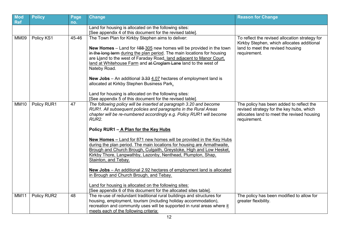| Mod<br><b>Ref</b> | <b>Policy</b> | Page<br>no. | <b>Change</b>                                                                                                                                                                                                                                                                                                                                                                                                                                                                                                | <b>Reason for Change</b>                                                                                                                           |
|-------------------|---------------|-------------|--------------------------------------------------------------------------------------------------------------------------------------------------------------------------------------------------------------------------------------------------------------------------------------------------------------------------------------------------------------------------------------------------------------------------------------------------------------------------------------------------------------|----------------------------------------------------------------------------------------------------------------------------------------------------|
|                   |               |             | Land for housing is allocated on the following sites:                                                                                                                                                                                                                                                                                                                                                                                                                                                        |                                                                                                                                                    |
|                   |               |             | [See appendix 4 of this document for the revised table].                                                                                                                                                                                                                                                                                                                                                                                                                                                     |                                                                                                                                                    |
| MM09              | Policy KS1    | 45-46       | The Town Plan for Kirkby Stephen aims to deliver:<br>New Homes - Land for 188-305 new homes will be provided in the town<br>in the long term during the plan period. The main locations for housing<br>are Lland to the west of Faraday Road, land adjacent to Manor Court,<br>land at Whitehouse Farm and at Croglam Lane land to the west of<br>Nateby Road.                                                                                                                                               | To reflect the revised allocation strategy for<br>Kirkby Stephen, which allocates additional<br>land to meet the revised housing<br>requirement.   |
|                   |               |             | <b>New Jobs</b> – An additional 3.33 4.07 hectares of employment land is<br>allocated at Kirkby Stephen Business Park.<br>Land for housing is allocated on the following sites:<br>[See appendix 5 of this document for the revised table]                                                                                                                                                                                                                                                                   |                                                                                                                                                    |
| <b>MM10</b>       | Policy RUR1   | 47          | The following policy will be inserted at paragraph 3.20 and become<br>RUR1. All subsequent policies and paragraphs in the Rural Areas<br>chapter will be re-numbered accordingly e.g. Policy RUR1 will become<br>RUR <sub>2</sub> .<br>Policy RUR1 - A Plan for the Key Hubs<br><b>New Homes – Land for 871 new homes will be provided in the Key Hubs</b><br>during the plan period. The main locations for housing are Armathwaite,<br>Brough and Church Brough, Culgaith, Greystoke, High and Low Hesket, | The policy has been added to reflect the<br>revised strategy for the key hubs, which<br>allocates land to meet the revised housing<br>requirement. |
|                   |               |             | Kirkby Thore, Langwathby, Lazonby, Nenthead, Plumpton, Shap,<br>Stainton, and Tebay.<br>New Jobs - An additional 2.92 hectares of employment land is allocated<br>in Brough and Church Brough, and Tebay.<br>Land for housing is allocated on the following sites:<br>[See appendix 6 of this document for the allocated sites table].                                                                                                                                                                       |                                                                                                                                                    |
| <b>MM11</b>       | Policy RUR2   | 48          | The re-use of redundant traditional rural buildings and structures for<br>housing, employment, tourism (including holiday accommodation),<br>recreation and community uses will be supported in rural areas where it<br>meets each of the following criteria:                                                                                                                                                                                                                                                | The policy has been modified to allow for<br>greater flexibility.                                                                                  |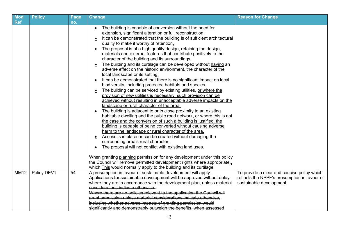| Mod<br><b>Ref</b> | <b>Policy</b> | Page<br>no. | <b>Change</b>                                                                                                                                                                                                                                                                                                                                                                                                                                                                                                                                                                                                                                                                                                                                                                                                                                                                                                                                                                                                                                                                                                                                                                                                                                                                                                                                                                                                                                                                                                                                                                                                                                                                                                                                                                               | <b>Reason for Change</b>                                                                                                |
|-------------------|---------------|-------------|---------------------------------------------------------------------------------------------------------------------------------------------------------------------------------------------------------------------------------------------------------------------------------------------------------------------------------------------------------------------------------------------------------------------------------------------------------------------------------------------------------------------------------------------------------------------------------------------------------------------------------------------------------------------------------------------------------------------------------------------------------------------------------------------------------------------------------------------------------------------------------------------------------------------------------------------------------------------------------------------------------------------------------------------------------------------------------------------------------------------------------------------------------------------------------------------------------------------------------------------------------------------------------------------------------------------------------------------------------------------------------------------------------------------------------------------------------------------------------------------------------------------------------------------------------------------------------------------------------------------------------------------------------------------------------------------------------------------------------------------------------------------------------------------|-------------------------------------------------------------------------------------------------------------------------|
|                   |               |             | The building is capable of conversion without the need for<br>extension, significant alteration or full reconstruction.<br>It can be demonstrated that the building is of sufficient architectural<br>$\bullet$<br>quality to make it worthy of retention.<br>The proposal is of a high quality design, retaining the design,<br>$\bullet$<br>materials and external features that contribute positively to the<br>character of the building and its surroundings.<br>The building and its curtilage can be developed without having an<br>adverse effect on the historic environment, the character of the<br>local landscape or its setting.<br>It can be demonstrated that there is no significant impact on local<br>$\bullet$<br>biodiversity, including protected habitats and species.<br>The building can be serviced by existing utilities, or where the<br>provision of new utilities is necessary, such provision can be<br>achieved without resulting in unacceptable adverse impacts on the<br>landscape or rural character of the area.<br>The building is adjacent to or in close proximity to an existing<br>habitable dwelling and the public road network, or where this is not<br>the case and the conversion of such a building is justified, the<br>building is capable of being converted without causing adverse<br>harm to the landscape or rural character of the area.<br>Access is in place or can be created without damaging the<br>surrounding area's rural character.<br>The proposal will not conflict with existing land uses.<br>When granting planning permission for any development under this policy<br>the Council will remove permitted development rights where appropriate,<br>which-This would normally apply to the building and its curtilage. |                                                                                                                         |
| <b>MM12</b>       | Policy DEV1   | 54          | A presumption in favour of sustainable development will apply.<br>Applications for sustainable development will be approved without delay<br>where they are in accordance with the development plan, unless material<br>considerations indicate otherwise.<br>Where there are no policies relevant to the application the Council will<br>grant permission unless material considerations indicate otherwise,<br>including whether adverse impacts of granting permission would<br>significantly and demonstrably outweigh the benefits, when assessed                                                                                                                                                                                                                                                                                                                                                                                                                                                                                                                                                                                                                                                                                                                                                                                                                                                                                                                                                                                                                                                                                                                                                                                                                                      | To provide a clear and concise policy which<br>reflects the NPPF's presumption in favour of<br>sustainable development. |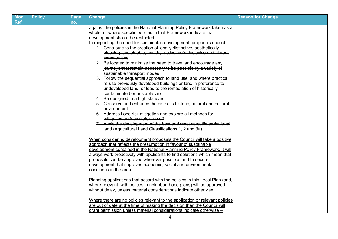| <b>Mod</b><br><b>Ref</b> | <b>Policy</b> | Page<br>no. | <b>Change</b>                                                                                                                                            | <b>Reason for Change</b> |
|--------------------------|---------------|-------------|----------------------------------------------------------------------------------------------------------------------------------------------------------|--------------------------|
|                          |               |             | against the policies in the National Planning Policy Framework taken as a                                                                                |                          |
|                          |               |             | whole; or where specific policies in that Framework indicate that                                                                                        |                          |
|                          |               |             | development should be restricted.                                                                                                                        |                          |
|                          |               |             | In respecting the need for sustainable development, proposals should:                                                                                    |                          |
|                          |               |             | 1. Contribute to the creation of locally distinctive, aesthetically                                                                                      |                          |
|                          |               |             | pleasing, sustainable, healthy, active, safe, inclusive and vibrant                                                                                      |                          |
|                          |               |             | communities                                                                                                                                              |                          |
|                          |               |             | 2. Be located to minimise the need to travel and encourage any                                                                                           |                          |
|                          |               |             | journeys that remain necessary to be possible by a variety of                                                                                            |                          |
|                          |               |             | sustainable transport modes                                                                                                                              |                          |
|                          |               |             | 3. Follow the sequential approach to land use, and where practical                                                                                       |                          |
|                          |               |             | re-use previously developed buildings or land in preference to                                                                                           |                          |
|                          |               |             | undeveloped land, or lead to the remediation of historically                                                                                             |                          |
|                          |               |             | contaminated or unstable land                                                                                                                            |                          |
|                          |               |             | 4. Be designed to a high standard                                                                                                                        |                          |
|                          |               |             | 5. Conserve and enhance the district's historic, natural and cultural                                                                                    |                          |
|                          |               |             | environment                                                                                                                                              |                          |
|                          |               |             | 6. Address flood risk mitigation and explore all methods for                                                                                             |                          |
|                          |               |             | mitigating surface water run off                                                                                                                         |                          |
|                          |               |             | 7. Avoid the development of the best and most versatile agricultural                                                                                     |                          |
|                          |               |             | land (Agricultural Land Classifications 1, 2 and 3a)                                                                                                     |                          |
|                          |               |             | When considering development proposals the Council will take a positive                                                                                  |                          |
|                          |               |             | approach that reflects the presumption in favour of sustainable                                                                                          |                          |
|                          |               |             | development contained in the National Planning Policy Framework. It will                                                                                 |                          |
|                          |               |             | always work proactively with applicants to find solutions which mean that                                                                                |                          |
|                          |               |             | proposals can be approved wherever possible, and to secure                                                                                               |                          |
|                          |               |             | development that improves economic, social and environmental                                                                                             |                          |
|                          |               |             | conditions in the area.                                                                                                                                  |                          |
|                          |               |             | Planning applications that accord with the policies in this Local Plan (and,                                                                             |                          |
|                          |               |             | where relevant, with polices in neighbourhood plans) will be approved                                                                                    |                          |
|                          |               |             | without delay, unless material considerations indicate otherwise.                                                                                        |                          |
|                          |               |             |                                                                                                                                                          |                          |
|                          |               |             | Where there are no policies relevant to the application or relevant policies<br>are out of date at the time of making the decision then the Council will |                          |
|                          |               |             | grant permission unless material considerations indicate otherwise -                                                                                     |                          |
|                          |               |             |                                                                                                                                                          |                          |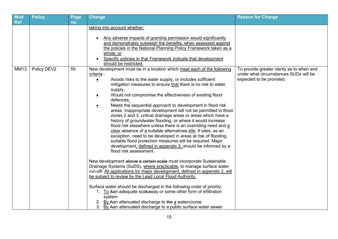| <b>Mod</b><br><b>Ref</b> | <b>Policy</b> | Page | Change                                                                                                                                                                                                                                                                                                                                                                                                                                                                                                                                                                                                                                                                                                                                                                                                                                                                                                                                                                                                                                                                                                                                                                                                                                                                                                                                                                                                                                                                                                                                | <b>Reason for Change</b>                                                                                       |
|--------------------------|---------------|------|---------------------------------------------------------------------------------------------------------------------------------------------------------------------------------------------------------------------------------------------------------------------------------------------------------------------------------------------------------------------------------------------------------------------------------------------------------------------------------------------------------------------------------------------------------------------------------------------------------------------------------------------------------------------------------------------------------------------------------------------------------------------------------------------------------------------------------------------------------------------------------------------------------------------------------------------------------------------------------------------------------------------------------------------------------------------------------------------------------------------------------------------------------------------------------------------------------------------------------------------------------------------------------------------------------------------------------------------------------------------------------------------------------------------------------------------------------------------------------------------------------------------------------------|----------------------------------------------------------------------------------------------------------------|
|                          |               | no.  | taking into account whether:<br>Any adverse impacts of granting permission would significantly<br>and demonstrably outweigh the benefits, when assessed against<br>the policies in the National Planning Policy Framework taken as a<br>whole; or<br>Specific policies in that Framework indicate that development<br>should be restricted.                                                                                                                                                                                                                                                                                                                                                                                                                                                                                                                                                                                                                                                                                                                                                                                                                                                                                                                                                                                                                                                                                                                                                                                           |                                                                                                                |
| MM13                     | Policy DEV2   | 55   | New development must be in a location which meet each of the following<br>criteria :<br>Avoids risks to the water supply, or includes sufficient<br>$\bullet$<br>mitigation measures to ensure that there is no risk to water<br>supply.<br>Would not compromise the effectiveness of existing flood<br>≗<br>defences.<br>Meets the sequential approach to development in flood risk<br>$\bullet$<br>areas. Inappropriate development will not be permitted in flood<br>zones 2 and 3, critical drainage areas or areas which have a<br>history of groundwater flooding, or where it would increase<br>flood risk elsewhere unless there is an overriding need and a<br>clear absence of a suitable alternatives site. If sites, as an<br>exception, need to be developed in areas at risk of flooding,<br>suitable flood protection measures will be required. Major<br>development, defined in appendix 2, should be informed by a<br>flood risk assessment.<br>New development above a certain scale must incorporate Sustainable<br>Drainage Systems (SuDS), where practicable, to manage surface water<br>run-off. All applications for major development, defined in appendix 2, will<br>be subject to review by the Lead Local Flood Authority.<br>Surface water should be discharged in the following order of priority:<br>1. To Aan adequate soakaway or some other form of infiltration<br>system<br>2. By Aan attenuated discharge to the a watercourse<br>3. By Aan attenuated discharge to a public surface water sewer | To provide greater clarity as to when and<br>under what circumstances SUDs will be<br>expected to be provided. |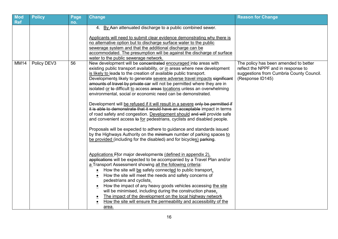| <b>Mod</b>  | <b>Policy</b> | Page | <b>Change</b>                                                                                                                                                                                                                                                                                                                                                                                                                                                                                                                                                                                                                                                                                                                                                                                                                                                                                                                                                                                                                                                        | <b>Reason for Change</b>                                                                                                                     |
|-------------|---------------|------|----------------------------------------------------------------------------------------------------------------------------------------------------------------------------------------------------------------------------------------------------------------------------------------------------------------------------------------------------------------------------------------------------------------------------------------------------------------------------------------------------------------------------------------------------------------------------------------------------------------------------------------------------------------------------------------------------------------------------------------------------------------------------------------------------------------------------------------------------------------------------------------------------------------------------------------------------------------------------------------------------------------------------------------------------------------------|----------------------------------------------------------------------------------------------------------------------------------------------|
| <b>Ref</b>  |               | no.  |                                                                                                                                                                                                                                                                                                                                                                                                                                                                                                                                                                                                                                                                                                                                                                                                                                                                                                                                                                                                                                                                      |                                                                                                                                              |
|             |               |      | 4. By Aan attenuated discharge to a public combined sewer.<br>Applicants will need to submit clear evidence demonstrating why there is<br>no alternative option but to discharge surface water to the public<br>sewerage system and that the additional discharge can be                                                                                                                                                                                                                                                                                                                                                                                                                                                                                                                                                                                                                                                                                                                                                                                             |                                                                                                                                              |
|             |               |      | accommodated. The presumption will be against the discharge of surface                                                                                                                                                                                                                                                                                                                                                                                                                                                                                                                                                                                                                                                                                                                                                                                                                                                                                                                                                                                               |                                                                                                                                              |
|             |               |      | water to the public sewerage network.                                                                                                                                                                                                                                                                                                                                                                                                                                                                                                                                                                                                                                                                                                                                                                                                                                                                                                                                                                                                                                |                                                                                                                                              |
| <b>MM14</b> | Policy DEV3   | 56   | New development will be concentrated encouraged into areas with<br>existing public transport availability, or in areas where new development<br>is likely to leads to the creation of available public transport.<br>Developments likely to generate severe adverse travel impacts significant<br>amounts of travel by private car will not be permitted where they are in<br>isolated or to difficult to access areas locations unless an overwhelming<br>environmental, social or economic need can be demonstrated.<br>Development will be refused if it will result in a severe only be permitted if<br>it is able to demonstrate that it would have an acceptable impact in terms<br>of road safety and congestion. Development should and will provide safe<br>and convenient access to for pedestrians, cyclists and disabled people.<br>Proposals will be expected to adhere to guidance and standards issued<br>by the Highways Authority on the minimum number of parking spaces to<br>be provided (including for the disabled) and for bicycles) parking. | The policy has been amended to better<br>reflect the NPPF and in response to<br>suggestions from Cumbria County Council.<br>(Response ID145) |
|             |               |      | Applications Ffor major developments (defined in appendix 2).<br>applications will be expected to be accompanied by a Travel Plan and/or<br>a Transport Assessment showing all the following criteria:<br>How the site will be safely connected to public transport.<br>How the site will meet the needs and safety concerns of<br>pedestrians and cyclists.                                                                                                                                                                                                                                                                                                                                                                                                                                                                                                                                                                                                                                                                                                         |                                                                                                                                              |
|             |               |      | How the impact of any heavy goods vehicles accessing the site<br>will be minimised, including during the construction phase.<br>The impact of the development on the local highway network<br>How the site will ensure the permeability and accessibility of the<br>area.                                                                                                                                                                                                                                                                                                                                                                                                                                                                                                                                                                                                                                                                                                                                                                                            |                                                                                                                                              |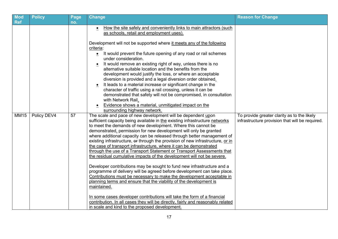| <b>Mod</b>                | <b>Policy</b> | Page      | <b>Change</b>                                                                                                                                                                                                                                                                                                                                                                                                                                                                                                                                                                                                                                                                                                                                                                                                                                                                                                                                                                                                                                                                                                                                                                                                                                                                                                                                                                                                                                                                                                                                                                                                                                                                                                                                                                                                                                                                                                                                                                                                                                       | <b>Reason for Change</b>                                                                       |
|---------------------------|---------------|-----------|-----------------------------------------------------------------------------------------------------------------------------------------------------------------------------------------------------------------------------------------------------------------------------------------------------------------------------------------------------------------------------------------------------------------------------------------------------------------------------------------------------------------------------------------------------------------------------------------------------------------------------------------------------------------------------------------------------------------------------------------------------------------------------------------------------------------------------------------------------------------------------------------------------------------------------------------------------------------------------------------------------------------------------------------------------------------------------------------------------------------------------------------------------------------------------------------------------------------------------------------------------------------------------------------------------------------------------------------------------------------------------------------------------------------------------------------------------------------------------------------------------------------------------------------------------------------------------------------------------------------------------------------------------------------------------------------------------------------------------------------------------------------------------------------------------------------------------------------------------------------------------------------------------------------------------------------------------------------------------------------------------------------------------------------------------|------------------------------------------------------------------------------------------------|
| <b>Ref</b><br><b>MM15</b> | Policy DEV4   | no.<br>57 | How the site safely and conveniently links to main attractors (such<br>as schools, retail and employment uses).<br>Development will not be supported where it meets any of the following<br>criteria:<br>It would prevent the future opening of any road or rail schemes<br>$\bullet$<br>under consideration.<br>It would remove an existing right of way, unless there is no<br>alternative suitable location and the benefits from the<br>development would justify the loss, or where an acceptable<br>diversion is provided and a legal diversion order obtained.<br>It leads to a material increase or significant change in the<br>character of traffic using a rail crossing, unless it can be<br>demonstrated that safety will not be compromised, in consultation<br>with Network Rail.<br>Evidence shows a material, unmitigated impact on the<br>surrounding highway network.<br>The scale and pace of new development will be dependent upon<br>sufficient capacity being available in the existing infrastructure networks<br>to meet the demands of new development. Where this cannot be<br>demonstrated, permission for new development will only be granted<br>where additional capacity can be released through better management of<br>existing infrastructure, or through the provision of new infrastructure, or in<br>the case of transport infrastructure, where it can be demonstrated<br>through the use of a Transport Statement or Transport Assessments that<br>the residual cumulative impacts of the development will not be severe.<br>Developer contributions may be sought to fund new infrastructure and a<br>programme of delivery will be agreed before development can take place.<br>Contributions must be necessary to make the development acceptable in<br>planning terms and ensure that the viability of the development is<br>maintained.<br>In some cases developer contributions will take the form of a financial<br>contribution. In all cases they will be directly, fairly and reasonably related | To provide greater clarity as to the likely<br>infrastructure provision that will be required. |
|                           |               |           | in scale and kind to the proposed development.                                                                                                                                                                                                                                                                                                                                                                                                                                                                                                                                                                                                                                                                                                                                                                                                                                                                                                                                                                                                                                                                                                                                                                                                                                                                                                                                                                                                                                                                                                                                                                                                                                                                                                                                                                                                                                                                                                                                                                                                      |                                                                                                |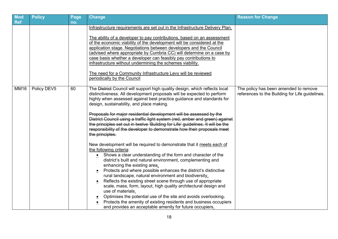| Mod<br><b>Ref</b> | <b>Policy</b> | Page<br>no. | Change                                                                                                                                                                                                                                                                                                                                                                                                                                                                                                                                                                                                                                                                                                                                                                                                                                                                                                                                                                                                                | <b>Reason for Change</b>                                                                 |
|-------------------|---------------|-------------|-----------------------------------------------------------------------------------------------------------------------------------------------------------------------------------------------------------------------------------------------------------------------------------------------------------------------------------------------------------------------------------------------------------------------------------------------------------------------------------------------------------------------------------------------------------------------------------------------------------------------------------------------------------------------------------------------------------------------------------------------------------------------------------------------------------------------------------------------------------------------------------------------------------------------------------------------------------------------------------------------------------------------|------------------------------------------------------------------------------------------|
|                   |               |             | Infrastructure requirements are set out in the Infrastructure Delivery Plan.<br>The ability of a developer to pay contributions, based on an assessment<br>of the economic viability of the development will be considered at the<br>application stage. Negotiations between developers and the Council<br>(advised where appropriate by Cumbria CC) will determine on a case by<br>case basis whether a developer can feasibly pay contributions to<br>infrastructure without undermining the schemes viability.<br>The need for a Community Infrastructure Levy will be reviewed<br>periodically by the Council                                                                                                                                                                                                                                                                                                                                                                                                     |                                                                                          |
| <b>MM16</b>       | Policy DEV5   | 60          | The District Council will support high quality design, which reflects local<br>distinctiveness. All development proposals will be expected to perform<br>highly when assessed against best practice guidance and standards for<br>design, sustainability, and place making.<br>Proposals for major residential development will be assessed by the<br>District Council using a traffic light system (red, amber and green) against<br>the principles set out in twelve 'Building for Life' guidelines. It will be the<br>responsibility of the developer to demonstrate how their proposals meet<br>the principles.<br>New development will be required to demonstrate that it meets each of<br>the following criteria:<br>• Shows a clear understanding of the form and character of the<br>district's built and natural environment, complementing and<br>enhancing the existing area.<br>Protects and where possible enhances the district's distinctive<br>rural landscape, natural environment and biodiversity. | The policy has been amended to remove<br>references to the Building for Life guidelines. |
|                   |               |             | Reflects the existing street scene through use of appropriate<br>scale, mass, form, layout, high quality architectural design and<br>use of materials.<br>Optimises the potential use of the site and avoids overlooking.<br>Protects the amenity of existing residents and business occupiers<br>and provides an acceptable amenity for future occupiers.                                                                                                                                                                                                                                                                                                                                                                                                                                                                                                                                                                                                                                                            |                                                                                          |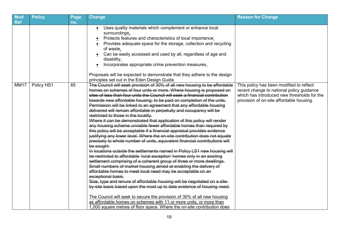| <b>Mod</b>  | <b>Policy</b> | Page | <b>Change</b>                                                                                                | <b>Reason for Change</b>                    |
|-------------|---------------|------|--------------------------------------------------------------------------------------------------------------|---------------------------------------------|
| Ref         |               | no.  | • Uses quality materials which complement or enhance local                                                   |                                             |
|             |               |      | surroundings.                                                                                                |                                             |
|             |               |      | Protects features and characteristics of local importance.                                                   |                                             |
|             |               |      | Provides adequate space for the storage, collection and recycling<br>$\bullet$                               |                                             |
|             |               |      | of waste.                                                                                                    |                                             |
|             |               |      | Can be easily accessed and used by all, regardless of age and                                                |                                             |
|             |               |      | disability.                                                                                                  |                                             |
|             |               |      | Incorporates appropriate crime prevention measures.<br>$\bullet$                                             |                                             |
|             |               |      | Proposals will be expected to demonstrate that they adhere to the design                                     |                                             |
|             |               |      | principles set out in the Eden Design Guide.                                                                 |                                             |
| <b>MM17</b> | Policy HS1    | 65   | The Council will seek provision of 30% of all new housing to be affordable                                   | This policy has been modified to reflect    |
|             |               |      | homes on schemes of four units or more. Where housing is proposed on                                         | recent change to national policy guidance   |
|             |               |      | sites of less than four units the Council will seek a financial contribution                                 | which has introduced new thresholds for the |
|             |               |      | towards new affordable housing, to be paid on completion of the units.                                       | provision of on-site affordable housing.    |
|             |               |      | Permission will be linked to an agreement that any affordable housing                                        |                                             |
|             |               |      | delivered will remain affordable in perpetuity and occupancy will be<br>restricted to those in the locality. |                                             |
|             |               |      | Where it can be demonstrated that application of this policy will render                                     |                                             |
|             |               |      | any housing scheme unviable fewer affordable homes than required by                                          |                                             |
|             |               |      | this policy will be acceptable if a financial appraisal provides evidence                                    |                                             |
|             |               |      | justifying any lower level. Where the on-site contribution does not equate                                   |                                             |
|             |               |      | precisely to whole number of units, equivalent financial contributions will                                  |                                             |
|             |               |      | be sought.                                                                                                   |                                             |
|             |               |      | In locations outside the settlements named in Policy LS1 new housing will                                    |                                             |
|             |               |      | be restricted to affordable 'rural exception' homes only in an existing                                      |                                             |
|             |               |      | settlement comprising of a coherent group of three or more dwellings.                                        |                                             |
|             |               |      | Small numbers of market housing aimed at enabling the delivery of                                            |                                             |
|             |               |      | affordable homes to meet local need may be acceptable on an<br>exceptional basis.                            |                                             |
|             |               |      | Size, type and tenure of affordable housing will be negotiated on a site-                                    |                                             |
|             |               |      | by-site basis based upon the most up to date evidence of housing need.                                       |                                             |
|             |               |      | The Council will seek to secure the provision of 30% of all new housing                                      |                                             |
|             |               |      | as affordable homes on schemes with 11 or more units, or more than                                           |                                             |
|             |               |      | 1,000 square metres of floor space. Where the on-site contribution does                                      |                                             |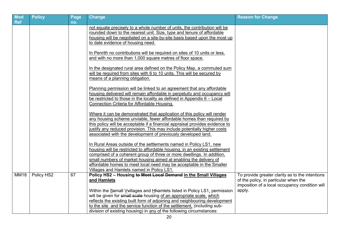| <b>Mod</b><br><b>Ref</b> | <b>Policy</b> | Page | <b>Change</b>                                                                                                                                       | <b>Reason for Change</b>                                 |
|--------------------------|---------------|------|-----------------------------------------------------------------------------------------------------------------------------------------------------|----------------------------------------------------------|
|                          |               | no.  | not equate precisely to a whole number of units, the contribution will be                                                                           |                                                          |
|                          |               |      | rounded down to the nearest unit. Size, type and tenure of affordable                                                                               |                                                          |
|                          |               |      | housing will be negotiated on a site-by-site basis based upon the most up                                                                           |                                                          |
|                          |               |      | to date evidence of housing need.                                                                                                                   |                                                          |
|                          |               |      |                                                                                                                                                     |                                                          |
|                          |               |      | In Penrith no contributions will be required on sites of 10 units or less.                                                                          |                                                          |
|                          |               |      | and with no more than 1,000 square metres of floor space.                                                                                           |                                                          |
|                          |               |      | In the designated rural area defined on the Policy Map, a commuted sum                                                                              |                                                          |
|                          |               |      | will be required from sites with 6 to 10 units. This will be secured by                                                                             |                                                          |
|                          |               |      | means of a planning obligation.                                                                                                                     |                                                          |
|                          |               |      | Planning permission will be linked to an agreement that any affordable                                                                              |                                                          |
|                          |               |      | housing delivered will remain affordable in perpetuity and occupancy will                                                                           |                                                          |
|                          |               |      | be restricted to those in the locality as defined in Appendix $6 -$ Local                                                                           |                                                          |
|                          |               |      | Connection Criteria for Affordable Housing.                                                                                                         |                                                          |
|                          |               |      | Where it can be demonstrated that application of this policy will render                                                                            |                                                          |
|                          |               |      | any housing scheme unviable, fewer affordable homes than required by                                                                                |                                                          |
|                          |               |      | this policy will be acceptable if a financial appraisal provides evidence to                                                                        |                                                          |
|                          |               |      | justify any reduced provision. This may include potentially higher costs                                                                            |                                                          |
|                          |               |      | associated with the development of previously developed land.                                                                                       |                                                          |
|                          |               |      | In Rural Areas outside of the settlements named in Policy LS1, new                                                                                  |                                                          |
|                          |               |      | housing will be restricted to affordable housing, in an existing settlement                                                                         |                                                          |
|                          |               |      | comprised of a coherent group of three or more dwellings. In addition,                                                                              |                                                          |
|                          |               |      | small numbers of market housing aimed at enabling the delivery of                                                                                   |                                                          |
|                          |               |      | affordable homes to meet local need may be acceptable in the Smaller                                                                                |                                                          |
|                          |               |      | Villages and Hamlets named in Policy LS1.                                                                                                           |                                                          |
| <b>MM18</b>              | Policy HS2    | 67   | Policy HS2 - Housing to Meet Local Demand in the Small Villages                                                                                     | To provide greater clarity as to the intentions          |
|                          |               |      | and Hamlets                                                                                                                                         | of the policy, in particular when the                    |
|                          |               |      |                                                                                                                                                     | imposition of a local occupancy condition will<br>apply. |
|                          |               |      | Within the Ssmall V villages and H hamlets listed in Policy LS1, permission<br>will be given for small scale housing of an appropriate scale, which |                                                          |
|                          |               |      | reflects the existing built form of adjoining and neighbouring development                                                                          |                                                          |
|                          |               |      | to the site and the service function of the settlement, (including sub-                                                                             |                                                          |
|                          |               |      | division of existing housing) in any of the following circumstances:                                                                                |                                                          |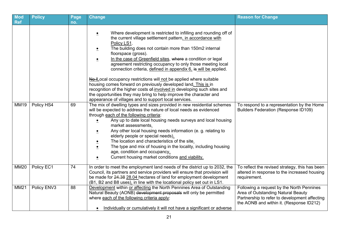| Mod<br><b>Ref</b> | <b>Policy</b> | Page<br>no. | <b>Change</b>                                                                                                                                                                                                                                                                                                                                                                                                                                                                                                                                                                                                                                                                                                                                                                                                                                                                                                                                                                                                                                                                                                              | <b>Reason for Change</b>                                                                                                                                                     |
|-------------------|---------------|-------------|----------------------------------------------------------------------------------------------------------------------------------------------------------------------------------------------------------------------------------------------------------------------------------------------------------------------------------------------------------------------------------------------------------------------------------------------------------------------------------------------------------------------------------------------------------------------------------------------------------------------------------------------------------------------------------------------------------------------------------------------------------------------------------------------------------------------------------------------------------------------------------------------------------------------------------------------------------------------------------------------------------------------------------------------------------------------------------------------------------------------------|------------------------------------------------------------------------------------------------------------------------------------------------------------------------------|
| <b>MM19</b>       | Policy HS4    | 69          | Where development is restricted to infilling and rounding off of<br>$\bullet$<br>the current village settlement pattern, in accordance with<br>Policy LS1.<br>The building does not contain more than 150m2 internal<br>$\bullet$<br>floorspace (gross).<br>In the case of Greenfield sites, where a condition or legal<br>$\bullet$<br>agreement restricting occupancy to only those meeting local<br>connection criteria, defined in appendix 6, is will be applied.<br>No ILocal occupancy restrictions will not be applied where suitable<br>housing comes forward on previously developed land. This is in<br>recognition of the higher costs of involved in developing such sites and<br>the opportunities they may bring to help improve the character and<br>appearance of villages and to support local services.<br>The mix of dwelling types and sizes provided in new residential schemes<br>will be expected to address the nature of local needs as evidenced<br>through each of the following criteria:<br>Any up to date local housing needs surveys and local housing<br>$\bullet$<br>market assessments. | To respond to a representation by the Home<br><b>Builders Federation (Response ID109)</b>                                                                                    |
|                   |               |             | Any other local housing needs information (e. g. relating to<br>elderly people or special needs).<br>The location and characteristics of the site.<br>The type and mix of housing in the locality, including housing<br>$\bullet$<br>age, condition and occupancy.<br>Current housing market conditions and viability.<br>$\bullet$                                                                                                                                                                                                                                                                                                                                                                                                                                                                                                                                                                                                                                                                                                                                                                                        |                                                                                                                                                                              |
| <b>MM20</b>       | Policy EC1    | 74          | In order to meet the employment land needs of the district up to 2032, the<br>Council, its partners and service providers will ensure that provision will<br>be made for 24.38 28.04 hectares of land for employment development<br>(B1, B2 and B8 uses), in line with the locational policy set out in LS1.                                                                                                                                                                                                                                                                                                                                                                                                                                                                                                                                                                                                                                                                                                                                                                                                               | To reflect the revised strategy, this has been<br>altered in response to the increased housing<br>requirement.                                                               |
| <b>MM21</b>       | Policy ENV3   | 88          | Development within or affecting the North Pennines Area of Outstanding<br>Natural Beauty (AONB) development proposals will only be permitted<br>where each of the following criteria apply:<br>Individually or cumulatively it will not have a significant or adverse                                                                                                                                                                                                                                                                                                                                                                                                                                                                                                                                                                                                                                                                                                                                                                                                                                                      | Following a request by the North Pennines<br>Area of Outstanding Natural Beauty<br>Partnership to refer to development affecting<br>the AONB and within it. (Response ID212) |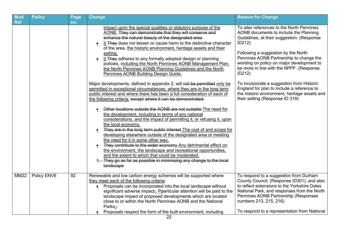| <b>Mod</b><br><b>Ref</b> | <b>Policy</b> | Page<br>no. | <b>Change</b>                                                                                                                                                                                                                                                                                                                                                                                                                                                                                                                                                                                                                                                                                                                                                                                                                                                                                                                                                                                                                                                                                                                                                                                                                                                                                                                                                                                                                                                                                                                                                            | <b>Reason for Change</b>                                                                                                                                                                                                                                                                                                                                                                                                                                                                                        |
|--------------------------|---------------|-------------|--------------------------------------------------------------------------------------------------------------------------------------------------------------------------------------------------------------------------------------------------------------------------------------------------------------------------------------------------------------------------------------------------------------------------------------------------------------------------------------------------------------------------------------------------------------------------------------------------------------------------------------------------------------------------------------------------------------------------------------------------------------------------------------------------------------------------------------------------------------------------------------------------------------------------------------------------------------------------------------------------------------------------------------------------------------------------------------------------------------------------------------------------------------------------------------------------------------------------------------------------------------------------------------------------------------------------------------------------------------------------------------------------------------------------------------------------------------------------------------------------------------------------------------------------------------------------|-----------------------------------------------------------------------------------------------------------------------------------------------------------------------------------------------------------------------------------------------------------------------------------------------------------------------------------------------------------------------------------------------------------------------------------------------------------------------------------------------------------------|
|                          |               |             | impact upon the special qualities or statutory purpose of the<br>AONB. They can demonstrate that they will conserve and<br>enhance the natural beauty of the designated area<br>It They does not lessen or cause harm to the distinctive character<br>of the area, the historic environment, heritage assets and their<br>setting.<br>It They adheres to any formally adopted design or planning<br>policies, including the North Pennines AONB Management Plan,<br>the North Pennines AONB Planning Guidelines and the North<br>Pennines AONB Building Design Guide.<br>Major developments, defined in appendix 2, will not be permitted only be<br>permitted in exceptional circumstances, where they are in the long term<br>public interest and where there has been a full consideration of each of<br>the following criteria: except where it can be demonstrated:<br>Other locations outside the AONB are not suitable The need for<br>the development, including in terms of any national<br>considerations, and the impact of permitting it, or refusing it, upon<br>the local economy.<br>They are in the long term public interest The cost of and scope for<br>$\bullet$<br>developing elsewhere outside of the designated area or meeting<br>the need for it in some other way.<br>They contribute to the wider economy Any detrimental effect on<br>the environment, the landscape and recreational opportunities,<br>and the extent to which that could be moderated.<br>1. They go as far as possible in minimising any change to the local<br>landscape | To alter references to the North Pennines<br>AONB documents to include the Planning<br>Guidelines, at their suggestion. (Response<br>ID212)<br>Following a suggestion by the North<br>Pennines AONB Partnership to change the<br>wording on policy on major development to<br>be more in line with the NPPF. (Response<br>ID212)<br>To incorporate a suggestion from Historic<br>England for plan to include a reference to<br>the historic environment, heritage assets and<br>their setting (Response ID 319) |
| <b>MM22</b>              | Policy ENV6   | 92          | Renewable and low carbon energy schemes will be supported where<br>they meet each of the following criteria:<br>Proposals can be incorporated into the local landscape without<br>$\bullet$<br>significant adverse impact; Pearticular attention will be paid to the<br>landscape impact of proposed developments which are located<br>close to or within the North Pennines AONB and the National<br>Parks.;<br>Proposals respect the form of the built environment, including                                                                                                                                                                                                                                                                                                                                                                                                                                                                                                                                                                                                                                                                                                                                                                                                                                                                                                                                                                                                                                                                                          | To respond to a suggestion from Durham<br>County Council. (Response ID301), and also<br>to reflect extensions to the Yorkshire Dales<br>National Park, and responses from the North<br>Pennines AONB Partnership (Responses<br>numbers 213, 215, 216)<br>To respond to a representation from National                                                                                                                                                                                                           |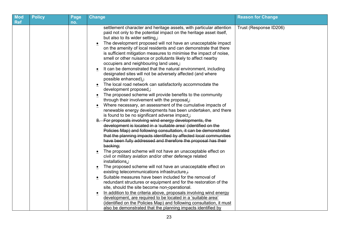| <b>Mod</b> | <b>Policy</b> | Page | Change                                                                                                                                     | <b>Reason for Change</b> |
|------------|---------------|------|--------------------------------------------------------------------------------------------------------------------------------------------|--------------------------|
| <b>Ref</b> |               | no.  |                                                                                                                                            |                          |
|            |               |      | settlement character and heritage assets, with particular attention<br>paid not only to the potential impact on the heritage asset itself, | Trust (Response ID206)   |
|            |               |      | but also to its wider setting.;                                                                                                            |                          |
|            |               |      | The development proposed will not have an unacceptable impact                                                                              |                          |
|            |               |      | on the amenity of local residents and can demonstrate that there                                                                           |                          |
|            |               |      | is sufficient mitigation measures to minimise the impact of noise,                                                                         |                          |
|            |               |      | smell or other nuisance or pollutants likely to affect nearby                                                                              |                          |
|            |               |      | occupiers and neighbouring land uses.;                                                                                                     |                          |
|            |               |      | It can be demonstrated that the natural environment, including                                                                             |                          |
|            |               |      | designated sites will not be adversely affected (and where                                                                                 |                          |
|            |               |      | possible enhanced).;                                                                                                                       |                          |
|            |               |      | The local road network can satisfactorily accommodate the<br>development proposed.;                                                        |                          |
|            |               |      | The proposed scheme will provide benefits to the community                                                                                 |                          |
|            |               |      | through their involvement with the proposal.;                                                                                              |                          |
|            |               |      | Where necessary, an assessment of the cumulative impacts of                                                                                |                          |
|            |               |      | renewable energy developments has been undertaken, and there                                                                               |                          |
|            |               |      | is found to be no significant adverse impact.;                                                                                             |                          |
|            |               |      | 8. For proposals involving wind energy developments, the<br>development is located in a 'suitable area' (identified on the                 |                          |
|            |               |      | Policies Map) and following consultation, it can be demonstrated                                                                           |                          |
|            |               |      | that the planning impacts identified by affected local communities                                                                         |                          |
|            |               |      | have been fully addressed and therefore the proposal has their                                                                             |                          |
|            |               |      | backing;                                                                                                                                   |                          |
|            |               |      | The proposed scheme will not have an unacceptable effect on                                                                                |                          |
|            |               |      | civil or military aviation and/or other defensce related                                                                                   |                          |
|            |               |      | installations.;                                                                                                                            |                          |
|            |               |      | The proposed scheme will not have an unacceptable effect on                                                                                |                          |
|            |               |      | existing telecommunications infrastructure.;                                                                                               |                          |
|            |               |      | Suitable measures have been included for the removal of<br>redundant structures or equipment and for the restoration of the                |                          |
|            |               |      | site, should the site become non-operational.                                                                                              |                          |
|            |               |      | In addition to the criteria above, proposals involving wind energy                                                                         |                          |
|            |               |      | development, are required to be located in a 'suitable area'                                                                               |                          |
|            |               |      | (identified on the Policies Map) and following consultation, it must                                                                       |                          |
|            |               |      | also be demonstrated that the planning impacts identified by                                                                               |                          |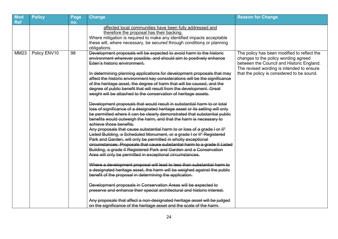| <b>Mod</b>  | <b>Policy</b> | Page | <b>Change</b>                                                                                                                                          | <b>Reason for Change</b>                    |
|-------------|---------------|------|--------------------------------------------------------------------------------------------------------------------------------------------------------|---------------------------------------------|
| <b>Ref</b>  |               | no.  |                                                                                                                                                        |                                             |
|             |               |      | affected local communities have been fully addressed and                                                                                               |                                             |
|             |               |      | therefore the proposal has their backing.                                                                                                              |                                             |
|             |               |      | Where mitigation is required to make any identified impacts acceptable                                                                                 |                                             |
|             |               |      | these will, where necessary, be secured through conditions or planning                                                                                 |                                             |
|             |               |      | obligations.                                                                                                                                           |                                             |
| <b>MM23</b> | Policy ENV10  | 98   | Development proposals will be expected to avoid harm to the historic                                                                                   | The policy has been modified to reflect the |
|             |               |      | environment wherever possible, and should aim to positively enhance                                                                                    | changes to the policy wording agreed        |
|             |               |      | Eden's historic environment.                                                                                                                           | between the Council and Historic England.   |
|             |               |      |                                                                                                                                                        | The revised wording is intended to ensure   |
|             |               |      | In determining planning applications for development proposals that may<br>affect the historic environment key considerations will be the significance | that the policy is considered to be sound.  |
|             |               |      | of the heritage asset, the degree of harm that will be caused, and the                                                                                 |                                             |
|             |               |      | degree of public benefit that will result from the development. Great                                                                                  |                                             |
|             |               |      | weight will be attached to the conservation of heritage assets.                                                                                        |                                             |
|             |               |      |                                                                                                                                                        |                                             |
|             |               |      | Development proposals that would result in substantial harm to or total                                                                                |                                             |
|             |               |      | loss of significance of a designated heritage asset or its setting will only                                                                           |                                             |
|             |               |      | be permitted where it can be clearly demonstrated that substantial public                                                                              |                                             |
|             |               |      | benefits would outweigh the harm, and that the harm is necessary to                                                                                    |                                             |
|             |               |      | achieve those benefits.                                                                                                                                |                                             |
|             |               |      | Any proposals that cause substantial harm to or loss of a grade I or II*                                                                               |                                             |
|             |               |      | Listed Building, a Scheduled Monument, or a grade I or II* Registered                                                                                  |                                             |
|             |               |      | Park and Garden, will only be permitted in wholly exceptional                                                                                          |                                             |
|             |               |      | circumstances. Proposals that cause substantial harm to a grade II Listed                                                                              |                                             |
|             |               |      | Building, a grade II Registered Park and Garden and a Conservation                                                                                     |                                             |
|             |               |      | Area will only be permitted in exceptional circumstances.                                                                                              |                                             |
|             |               |      | Where a development proposal will lead to less than substantial harm to                                                                                |                                             |
|             |               |      | a designated heritage asset, the harm will be weighed against the public                                                                               |                                             |
|             |               |      | benefit of the proposal in determining the application.                                                                                                |                                             |
|             |               |      |                                                                                                                                                        |                                             |
|             |               |      | Development proposals in Conservation Areas will be expected to                                                                                        |                                             |
|             |               |      | preserve and enhance their special architectural and historic interest.                                                                                |                                             |
|             |               |      | Any proposals that affect a non-designated heritage asset will be judged                                                                               |                                             |
|             |               |      | on the significance of the heritage asset and the scale of the harm.                                                                                   |                                             |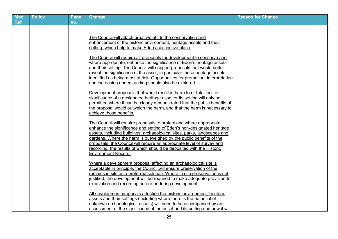| <b>Mod</b><br><b>Ref</b> | <b>Policy</b> | Page<br>no. | <b>Change</b>                                                                                                                                                                                                                                                                                                                                                                                                                                                                                                                                                                                                                                                                                                                                                                                                                                                                                                                                                                                                                                                  | <b>Reason for Change</b> |
|--------------------------|---------------|-------------|----------------------------------------------------------------------------------------------------------------------------------------------------------------------------------------------------------------------------------------------------------------------------------------------------------------------------------------------------------------------------------------------------------------------------------------------------------------------------------------------------------------------------------------------------------------------------------------------------------------------------------------------------------------------------------------------------------------------------------------------------------------------------------------------------------------------------------------------------------------------------------------------------------------------------------------------------------------------------------------------------------------------------------------------------------------|--------------------------|
|                          |               |             | The Council will attach great weight to the conservation and<br>enhancement of the historic environment, heritage assets and their<br>setting, which help to make Eden a distinctive place.<br>The Council will require all proposals for development to conserve and<br>where appropriate, enhance the significance of Eden's heritage assets<br>and their setting. The Council will support proposals that would better<br>reveal the significance of the asset, in particular those heritage assets<br>identified as being most at risk. Opportunities for promotion, interpretation<br>and increasing understanding should also be explored.<br>Development proposals that would result in harm to or total loss of<br>significance of a designated heritage asset or its setting will only be<br>permitted where it can be clearly demonstrated that the public benefits of<br>the proposal would outweigh the harm, and that the harm is necessary to<br>achieve those benefits.<br>The Council will require proposals to protect and where appropriate. |                          |
|                          |               |             | enhance the significance and setting of Eden's non-designated heritage<br>assets, including buildings, archaeological sites, parks, landscapes and<br>gardens. Where the harm is outweighed by the public benefits of the<br>proposals, the Council will require an appropriate level of survey and<br>recording, the results of which should be deposited with the Historic<br><b>Environment Record.</b>                                                                                                                                                                                                                                                                                                                                                                                                                                                                                                                                                                                                                                                     |                          |
|                          |               |             | Where a development proposal affecting an archaeological site is<br>acceptable in principle, the Council will ensure preservation of the<br>remains in situ as a preferred solution. Where in situ preservation is not<br>justified, the development will be required to make adequate provision for<br>excavation and recording before or during development.                                                                                                                                                                                                                                                                                                                                                                                                                                                                                                                                                                                                                                                                                                 |                          |
|                          |               |             | All development proposals affecting the historic environment, heritage<br>assets and their settings (including where there is the potential of<br>unknown archaeological assets) will need to be accompanied by an<br>assessment of the significance of the asset and its setting and how it will                                                                                                                                                                                                                                                                                                                                                                                                                                                                                                                                                                                                                                                                                                                                                              |                          |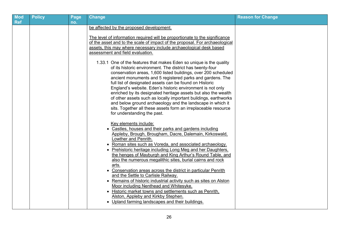| <b>Ref</b> | Page<br>no. | <b>Change</b>                                                                                                                                                                                                                                                                                                                                                                                                                                                                                                                                                                                                                                                                                                                                                                                                                                                                                                                                                                                                                                                                                                                                                                                                                                                                                                                                                                                                                                            | <b>Reason for Change</b> |
|------------|-------------|----------------------------------------------------------------------------------------------------------------------------------------------------------------------------------------------------------------------------------------------------------------------------------------------------------------------------------------------------------------------------------------------------------------------------------------------------------------------------------------------------------------------------------------------------------------------------------------------------------------------------------------------------------------------------------------------------------------------------------------------------------------------------------------------------------------------------------------------------------------------------------------------------------------------------------------------------------------------------------------------------------------------------------------------------------------------------------------------------------------------------------------------------------------------------------------------------------------------------------------------------------------------------------------------------------------------------------------------------------------------------------------------------------------------------------------------------------|--------------------------|
|            |             | be affected by the proposed development.<br>The level of information required will be proportionate to the significance<br>of the asset and to the scale of impact of the proposal. For archaeological<br>assets, this may where necessary include archaeological desk based<br>assessment and field evaluation.<br>1.33.1 One of the features that makes Eden so unique is the quality<br>of its historic environment. The district has twenty-four<br>conservation areas, 1,600 listed buildings, over 200 scheduled<br>ancient monuments and 5 registered parks and gardens. The<br>full list of designated assets can be found on Historic<br>England's website. Eden's historic environment is not only<br>enriched by its designated heritage assets but also the wealth<br>of other assets such as locally important buildings, earthworks<br>and below ground archaeology and the landscape in which it<br>sits. Together all these assets form an irreplaceable resource<br>for understanding the past.<br>Key elements include:<br>• Castles, houses and their parks and gardens including<br>Appleby, Brough, Brougham, Dacre, Dalemain, Kirkoswald,<br>Lowther and Penrith.<br>• Roman sites such as Voreda, and associated archaeology.<br>• Prehistoric heritage including Long Meg and her Daughters,<br>the henges of Mayburgh and King Arthur's Round Table, and<br>also the numerous megalithic sites, burial cairns and rock<br>arts. |                          |
|            |             | • Conservation areas across the district in particular Penrith<br>and the Settle to Carlisle Railway.<br>• Remains of historic industrial activity such as sites on Alston<br>Moor including Nenthead and Whitesyke.<br>• Historic market towns and settlements such as Penrith,<br>Alston, Appleby and Kirkby Stephen.<br>Upland farming landscapes and their buildings.                                                                                                                                                                                                                                                                                                                                                                                                                                                                                                                                                                                                                                                                                                                                                                                                                                                                                                                                                                                                                                                                                |                          |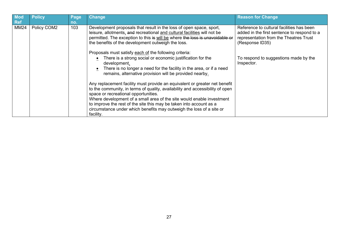| Mod<br><b>Ref</b> | <b>Policy</b> | Page<br>no. | <b>Change</b>                                                                                                                                                                                                                                                                                                                                                                                                                            | <b>Reason for Change</b>                                                                                                                              |
|-------------------|---------------|-------------|------------------------------------------------------------------------------------------------------------------------------------------------------------------------------------------------------------------------------------------------------------------------------------------------------------------------------------------------------------------------------------------------------------------------------------------|-------------------------------------------------------------------------------------------------------------------------------------------------------|
| MM24              | Policy COM2   | 103         | Development proposals that result in the loss of open space, sport,<br>leisure, allotments, and recreational and cultural facilities will not be<br>permitted. The exception to this is will be where the loss is unavoidable or<br>the benefits of the development outweigh the loss.<br>Proposals must satisfy each of the following criteria:                                                                                         | Reference to cultural facilities has been<br>added in the first sentence to respond to a<br>representation from the Theatres Trust<br>(Response ID35) |
|                   |               |             | There is a strong social or economic justification for the<br>development.<br>There is no longer a need for the facility in the area, or if a need<br>remains, alternative provision will be provided nearby.                                                                                                                                                                                                                            | To respond to suggestions made by the<br>Inspector.                                                                                                   |
|                   |               |             | Any replacement facility must provide an equivalent or greater net benefit<br>to the community, in terms of quality, availability and accessibility of open<br>space or recreational opportunities.<br>Where development of a small area of the site would enable investment<br>to improve the rest of the site this may be taken into account as a<br>circumstance under which benefits may outweigh the loss of a site or<br>facility. |                                                                                                                                                       |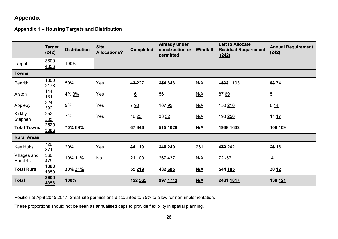#### <span id="page-27-0"></span>**Appendix**

<span id="page-27-1"></span>**Appendix 1 – Housing Targets and Distribution**

|                         | <b>Target</b><br>(242) | <b>Distribution</b> | <b>Site</b><br><b>Allocations?</b> | <b>Completed</b> | <b>Already under</b><br>construction or<br>permitted | <b>Windfall</b>            | <b>Left to Allocate</b><br><b>Residual Requirement</b><br>(242) | <b>Annual Requirement</b><br>(242) |
|-------------------------|------------------------|---------------------|------------------------------------|------------------|------------------------------------------------------|----------------------------|-----------------------------------------------------------------|------------------------------------|
| Target                  | 3600<br>4356           | 100%                |                                    |                  |                                                      |                            |                                                                 |                                    |
| <b>Towns</b>            |                        |                     |                                    |                  |                                                      |                            |                                                                 |                                    |
| Penrith                 | 1800<br>2178           | 50%                 | Yes                                | 43-227           | 254 848                                              | N/A                        | 1503 1103                                                       | 83 74                              |
| Alston                  | 144<br><u>131</u>      | 4% 3%               | Yes                                | 46               | 56                                                   | N/A                        | 87 69                                                           | $\sqrt{5}$                         |
| Appleby                 | 324<br>392             | 9%                  | Yes                                | 7 9 0            | 167 92                                               | N/A                        | <del>150</del> 210                                              | 814                                |
| Kirkby<br>Stephen       | 252<br>305             | 7%                  | Yes                                | 16 23            | $38 - 32$                                            | N/A                        | 198 250                                                         | <del>11</del> 17                   |
| <b>Total Towns</b>      | 2520<br>3006           | 70% 69%             |                                    | 67 346           | 515 1028                                             | <u>N/A</u>                 | 1938 1632                                                       | 108 109                            |
| <b>Rural Areas</b>      |                        |                     |                                    |                  |                                                      |                            |                                                                 |                                    |
| Key Hubs                | 720<br>871             | 20%                 | $Yes$                              | 34 119           | 215 249                                              | 261                        | 472 242                                                         | 26 16                              |
| Villages and<br>Hamlets | 360<br>479             | 10% 11%             | $\underline{\mathsf{No}}$          | 24 100           | 267 437                                              | N/A                        | 72 - 57                                                         | $\overline{4}$                     |
| <b>Total Rural</b>      | 1080<br><b>1350</b>    | 30% 31%             |                                    | 55 219           | 482 685                                              | M/A                        | 544 185                                                         | 30 12                              |
| <b>Total</b>            | 3600<br>4356           | 100%                |                                    | 122 565          | 997 1713                                             | $\underline{\mathsf{N/A}}$ | 2481 1817                                                       | <del>138</del> 121                 |

Position at April 2015 2017. Small site permissions discounted to 75% to allow for non-implementation.

These proportions should not be seen as annualised caps to provide flexibility in spatial planning.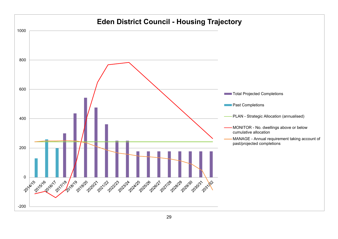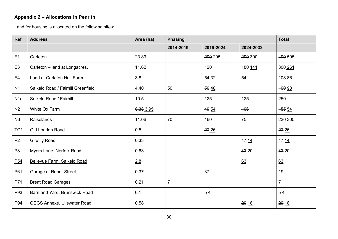## **Appendix 2 – Allocations in Penrith**

<span id="page-29-0"></span>Land for housing is allocated on the following sites:

| Ref             | <b>Address</b>                     | Area (ha) | <b>Phasing</b> |           |                | <b>Total</b>   |
|-----------------|------------------------------------|-----------|----------------|-----------|----------------|----------------|
|                 |                                    |           | 2014-2019      | 2019-2024 | 2024-2032      |                |
| E1              | Carleton                           | 23.89     |                | 200 205   | 299 300        | 499 505        |
| E <sub>3</sub>  | Carleton - land at Longacres.      | 11.62     |                | 120       | 180 141        | 300 261        |
| E <sub>4</sub>  | Land at Carleton Hall Farm         | 3.8       |                | 54 32     | 54             | 108 86         |
| N1              | Salkeld Road / Fairhill Greenfield | 4.40      | 50             | 50 48     |                | 100 98         |
| M1a             | <b>Salkeld Road / Fairhill</b>     | 10.5      |                | 125       | 125            | 250            |
| N <sub>2</sub>  | White Ox Farm                      | 8.38 3.95 |                | 49 54     | 106            | 155 54         |
| N3              | Raiselands                         | 11.06     | 70             | 160       | $\frac{75}{2}$ | 230 305        |
| TC <sub>1</sub> | Old London Road                    | 0.5       |                | 2726      |                | 2726           |
| P <sub>2</sub>  | <b>Gilwilly Road</b>               | 0.33      |                |           | 17 14          | 17 14          |
| P <sub>8</sub>  | Myers Lane, Norfolk Road           | 0.63      |                |           | 3220           | 32 20          |
| P <sub>54</sub> | Bellevue Farm, Salkeld Road        | 2.8       |                |           | 63             | 63             |
| <b>P61</b>      | Garage at Roper Street             | 0.37      |                | 37        |                | <b>19</b>      |
| P71             | <b>Brent Road Garages</b>          | 0.21      | $\overline{7}$ |           |                | $\overline{7}$ |
| P93             | Barn and Yard, Brunswick Road      | 0.1       |                | 54        |                | 54             |
| P94             | QEGS Annexe, Ullswater Road        | 0.58      |                |           | 29 18          | 29 18          |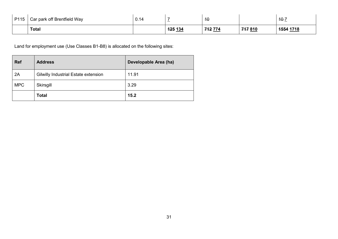| P115 | Car park off Brentfield Way | 0.14 |                | ₩      |        | $40 - 7$<br><b>STEP IN THE UPPER</b> |
|------|-----------------------------|------|----------------|--------|--------|--------------------------------------|
|      | <b>Total</b>                |      | <b>125 134</b> | 742774 | 747810 | 1554 1718                            |

<span id="page-30-0"></span>

| <b>Ref</b> | <b>Address</b>                       | Developable Area (ha) |
|------------|--------------------------------------|-----------------------|
| 2A         | Gilwilly Industrial Estate extension | 11.91                 |
| <b>MPC</b> | Skirsgill                            | 3.29                  |
|            | <b>Total</b>                         | 15.2                  |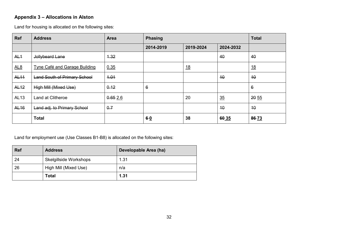#### <span id="page-31-0"></span>**Appendix 3 – Allocations in Alston**

<span id="page-31-1"></span>Land for housing is allocated on the following sites:

| <b>Ref</b>      | <b>Address</b>                       | Area    | <b>Phasing</b> |           |           | <b>Total</b> |
|-----------------|--------------------------------------|---------|----------------|-----------|-----------|--------------|
|                 |                                      |         | 2014-2019      | 2019-2024 | 2024-2032 |              |
| AL <sub>1</sub> | Jollybeard Lane                      | 4.32    |                |           | 40        | 40           |
| AL8             | <b>Tyne Café and Garage Building</b> | 0.35    |                | <u>18</u> |           | <u>18</u>    |
| <b>AL11</b>     | <b>Land South of Primary School</b>  | 4.04    |                |           | 10        | 10           |
| <b>AL12</b>     | High Mill (Mixed Use)                | 0.12    | 6              |           |           | 6            |
| AL13            | Land at Clitheroe                    | 0.652.6 |                | 20        | 35        | 20 55        |
| <b>AL16</b>     | Land adj. to Primary School          | 0.7     |                |           | 40        | 10           |
|                 | <b>Total</b>                         |         | $6-0$          | 38        | 60 35     | 86-73        |

<span id="page-31-2"></span>

| <b>Ref</b> | <b>Address</b>         | Developable Area (ha) |
|------------|------------------------|-----------------------|
| 24         | Skelgillside Workshops | 1.31                  |
| 26         | High Mill (Mixed Use)  | n/a                   |
|            | Total                  | 1.31                  |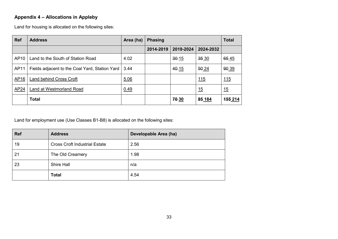#### <span id="page-32-0"></span>**Appendix 4 – Allocations in Appleby**

<span id="page-32-1"></span>Land for housing is allocated on the following sites:

| <b>Ref</b>       | <b>Address</b>                                 | Area (ha) | <b>Phasing</b> |           |           | <b>Total</b> |
|------------------|------------------------------------------------|-----------|----------------|-----------|-----------|--------------|
|                  |                                                |           | 2014-2019      | 2019-2024 | 2024-2032 |              |
| AP <sub>10</sub> | Land to the South of Station Road              | 4.02      |                | $30 - 15$ | 35 30     | 65 45        |
| AP11             | Fields adjacent to the Coal Yard, Station Yard | 3.44      |                | 40-15     | 50 24     | 90 39        |
| AP16             | <b>Land behind Cross Croft</b>                 | 5.06      |                |           | 115       | 115          |
| AP24             | Land at Westmorland Road                       | 0.49      |                |           | 15        | 15           |
|                  | <b>Total</b>                                   |           |                | 70-30     | 85 184    | 155 214      |

<span id="page-32-2"></span>

| <b>Ref</b> | <b>Address</b>                       | Developable Area (ha) |
|------------|--------------------------------------|-----------------------|
| 19         | <b>Cross Croft Industrial Estate</b> | 2.56                  |
| 21         | The Old Creamery                     | 1.98                  |
| 23         | Shire Hall                           | n/a                   |
|            | <b>Total</b>                         | 4.54                  |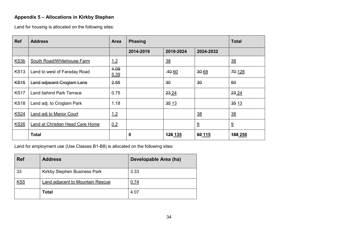#### <span id="page-33-0"></span>**Appendix 5 – Allocations in Kirkby Stephen**

<span id="page-33-1"></span>Land for housing is allocated on the following sites:

| <b>Ref</b>       | <b>Address</b>                   | <b>Area</b>  | <b>Phasing</b> |                |                | <b>Total</b>          |
|------------------|----------------------------------|--------------|----------------|----------------|----------------|-----------------------|
|                  |                                  |              | 2014-2019      | 2019-2024      | 2024-2032      |                       |
| KS <sub>3b</sub> | South Road/Whitehouse Farm       | 1.2          |                | $\frac{38}{5}$ |                | $\frac{38}{1}$        |
| <b>KS13</b>      | Land to west of Faraday Road     | 4.09<br>5.39 |                | $-40-60$       | 30-68          | 70-128                |
| <b>KS15</b>      | Land adjacent Croglam Lane       | 2.55         |                | 30             | 30             | 60                    |
| <b>KS17</b>      | <b>Land behind Park Terrace</b>  | 0.75         |                | 23 24          |                | 23 24                 |
| <b>KS18</b>      | Land adj. to Croglam Park        | 1.18         |                | 3513           |                | 35 13                 |
| <b>KS24</b>      | Land adj to Manor Court          | 1.2          |                |                | $\frac{38}{2}$ | $\frac{38}{1}$        |
| <b>KS26</b>      | Land at Christian Head Care Home | 0.2          |                |                | $\overline{9}$ | $\overline{\partial}$ |
|                  | <b>Total</b>                     |              | 0              | 128 135        | 60 115         | 188 250               |

<span id="page-33-2"></span>

| <b>Ref</b> | <b>Address</b>                   | Developable Area (ha) |
|------------|----------------------------------|-----------------------|
| 33         | Kirkby Stephen Business Park     | 3.33                  |
| <u>KS5</u> | Land adjacent to Mountain Rescue | 0.74                  |
|            | Total                            | 4.07                  |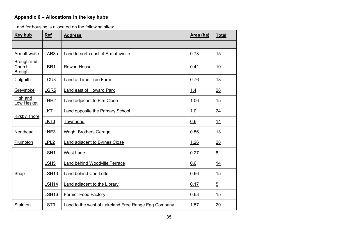#### <span id="page-34-0"></span>**Appendix 6 – Allocations in the key hubs**

<span id="page-34-1"></span>Land for housing is allocated on the following sites:

| Key hub                               | <b>Ref</b>          | <b>Address</b><br>Area (ha)                                |            | <b>Total</b>    |
|---------------------------------------|---------------------|------------------------------------------------------------|------------|-----------------|
|                                       |                     |                                                            |            |                 |
| Armathwaite                           | LAR3a               | Land to north east of Armathwaite                          | 0.73       | 15              |
| Brough and<br>Church<br><b>Brough</b> | LBR1<br>Rowan House |                                                            | 0.41       | 10              |
| Culgaith                              | LCU3                | Land at Lime Tree Farm                                     | 0.76       | 18              |
| Greystoke                             | LGR <sub>5</sub>    | <b>Land east of Howard Park</b>                            | <u>1.4</u> | 28              |
| High and<br>Low Hesket                | LHH2                | <b>Land adjacent to Elm Close</b>                          | 1.06       | 15              |
|                                       | LKT1                | <b>Land opposite the Primary School</b>                    | 1.0        | $\overline{24}$ |
| <b>Kirkby Thore</b>                   | LKT <sub>3</sub>    | Townhead                                                   | 0.6        | 14              |
| Nenthead                              | LNE3                | <b>Wright Brothers Garage</b>                              | 0.56       | 13              |
| Plumpton                              | LPL <sub>2</sub>    | Land adjacent to Byrnes Close                              | 1.26       | 28              |
|                                       | LSH <sub>1</sub>    | West Lane                                                  | 0.27       | 8               |
|                                       | LSH <sub>5</sub>    | Land behind Woodville Terrace                              | 0.6        | 14              |
| Shap                                  | LSH <sub>13</sub>   | <b>Land behind Carl Lofts</b>                              | 0.66       | 15              |
|                                       | <b>LSH14</b>        | <b>Land adjacent to the Library</b>                        | 0.17       | $\overline{5}$  |
|                                       | LSH <sub>16</sub>   | <b>Former Food Factory</b>                                 | 0.63       | 15              |
| <b>Stainton</b>                       | LST <sub>9</sub>    | <b>Land to the west of Lakeland Free Range Egg Company</b> | 1.57       | 20              |